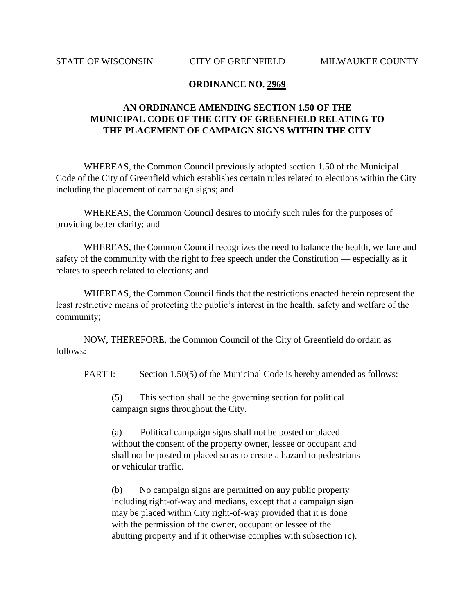## **ORDINANCE NO. 2969**

## **AN ORDINANCE AMENDING SECTION 1.50 OF THE MUNICIPAL CODE OF THE CITY OF GREENFIELD RELATING TO THE PLACEMENT OF CAMPAIGN SIGNS WITHIN THE CITY**

WHEREAS, the Common Council previously adopted section 1.50 of the Municipal Code of the City of Greenfield which establishes certain rules related to elections within the City including the placement of campaign signs; and

WHEREAS, the Common Council desires to modify such rules for the purposes of providing better clarity; and

WHEREAS, the Common Council recognizes the need to balance the health, welfare and safety of the community with the right to free speech under the Constitution — especially as it relates to speech related to elections; and

WHEREAS, the Common Council finds that the restrictions enacted herein represent the least restrictive means of protecting the public's interest in the health, safety and welfare of the community;

NOW, THEREFORE, the Common Council of the City of Greenfield do ordain as follows:

PART I: Section 1.50(5) of the Municipal Code is hereby amended as follows:

(5) This section shall be the governing section for political campaign signs throughout the City.

(a) Political campaign signs shall not be posted or placed without the consent of the property owner, lessee or occupant and shall not be posted or placed so as to create a hazard to pedestrians or vehicular traffic.

(b) No campaign signs are permitted on any public property including right-of-way and medians, except that a campaign sign may be placed within City right-of-way provided that it is done with the permission of the owner, occupant or lessee of the abutting property and if it otherwise complies with subsection (c).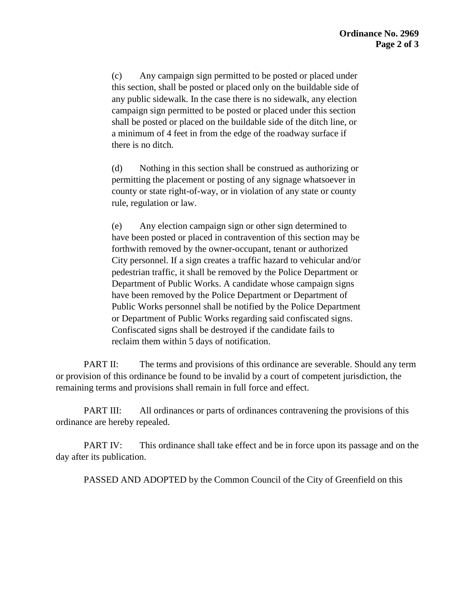(c) Any campaign sign permitted to be posted or placed under this section, shall be posted or placed only on the buildable side of any public sidewalk. In the case there is no sidewalk, any election campaign sign permitted to be posted or placed under this section shall be posted or placed on the buildable side of the ditch line, or a minimum of 4 feet in from the edge of the roadway surface if there is no ditch.

(d) Nothing in this section shall be construed as authorizing or permitting the placement or posting of any signage whatsoever in county or state right-of-way, or in violation of any state or county rule, regulation or law.

(e) Any election campaign sign or other sign determined to have been posted or placed in contravention of this section may be forthwith removed by the owner-occupant, tenant or authorized City personnel. If a sign creates a traffic hazard to vehicular and/or pedestrian traffic, it shall be removed by the Police Department or Department of Public Works. A candidate whose campaign signs have been removed by the Police Department or Department of Public Works personnel shall be notified by the Police Department or Department of Public Works regarding said confiscated signs. Confiscated signs shall be destroyed if the candidate fails to reclaim them within 5 days of notification.

PART II: The terms and provisions of this ordinance are severable. Should any term or provision of this ordinance be found to be invalid by a court of competent jurisdiction, the remaining terms and provisions shall remain in full force and effect.

PART III: All ordinances or parts of ordinances contravening the provisions of this ordinance are hereby repealed.

PART IV: This ordinance shall take effect and be in force upon its passage and on the day after its publication.

PASSED AND ADOPTED by the Common Council of the City of Greenfield on this